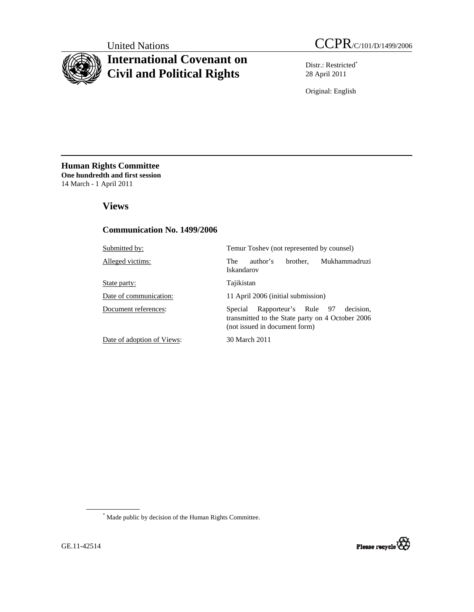# **International Covenant on Civil and Political Rights**

Distr.: Restricted\* 28 April 2011

Original: English

**Human Rights Committee One hundredth and first session** 14 March - 1 April 2011

 **Views** 

## **Communication No. 1499/2006**

| Submitted by:              | Temur Toshev (not represented by counsel)                                                                                         |
|----------------------------|-----------------------------------------------------------------------------------------------------------------------------------|
| Alleged victims:           | Mukhammadruzi<br>author's<br>brother,<br>The<br>Iskandarov                                                                        |
| State party:               | Tajikistan                                                                                                                        |
| Date of communication:     | 11 April 2006 (initial submission)                                                                                                |
| Document references:       | Rapporteur's Rule 97<br>decision.<br>Special<br>transmitted to the State party on 4 October 2006<br>(not issued in document form) |
| Date of adoption of Views: | 30 March 2011                                                                                                                     |

\* Made public by decision of the Human Rights Committee.

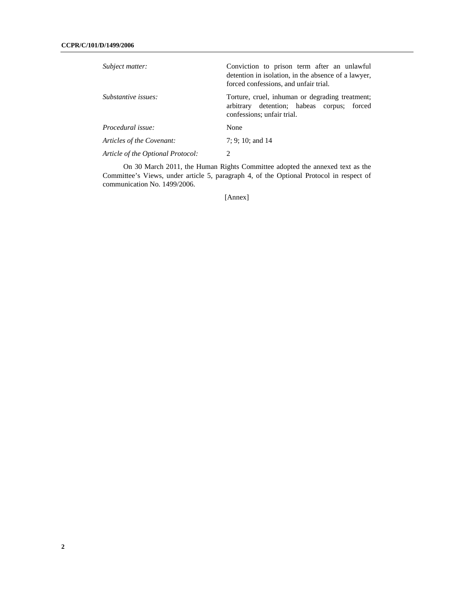| Subject matter:                   | Conviction to prison term after an unlawful<br>detention in isolation, in the absence of a lawyer,<br>forced confessions, and unfair trial. |
|-----------------------------------|---------------------------------------------------------------------------------------------------------------------------------------------|
| Substantive issues:               | Torture, cruel, inhuman or degrading treatment;<br>arbitrary detention; habeas corpus; forced<br>confessions; unfair trial.                 |
| Procedural issue:                 | None                                                                                                                                        |
| Articles of the Covenant:         | $7: 9: 10:$ and 14                                                                                                                          |
| Article of the Optional Protocol: | 2                                                                                                                                           |

 On 30 March 2011, the Human Rights Committee adopted the annexed text as the Committee's Views, under article 5, paragraph 4, of the Optional Protocol in respect of communication No. 1499/2006.

[Annex]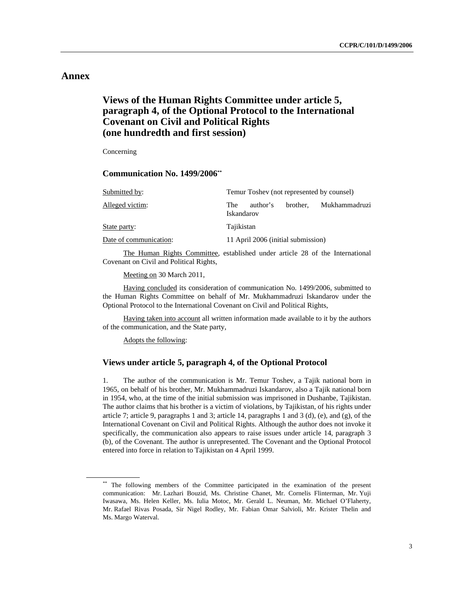## **Annex**

# **Views of the Human Rights Committee under article 5, paragraph 4, of the Optional Protocol to the International Covenant on Civil and Political Rights (one hundredth and first session)**

Concerning

 **Communication No. 1499/2006\*\***

| Submitted by:          | Temur Toshev (not represented by counsel)                   |
|------------------------|-------------------------------------------------------------|
| Alleged victim:        | brother.<br>Mukhammadruzi<br>author's<br>The.<br>Iskandarov |
| State party:           | Tajikistan                                                  |
| Date of communication: | 11 April 2006 (initial submission)                          |

 The Human Rights Committee, established under article 28 of the International Covenant on Civil and Political Rights,

Meeting on 30 March 2011,

 Having concluded its consideration of communication No. 1499/2006, submitted to the Human Rights Committee on behalf of Mr. Mukhammadruzi Iskandarov under the Optional Protocol to the International Covenant on Civil and Political Rights,

Having taken into account all written information made available to it by the authors of the communication, and the State party,

Adopts the following:

## **Views under article 5, paragraph 4, of the Optional Protocol**

1. The author of the communication is Mr. Temur Toshev, a Tajik national born in 1965, on behalf of his brother, Mr. Mukhammadruzi Iskandarov, also a Tajik national born in 1954, who, at the time of the initial submission was imprisoned in Dushanbe, Tajikistan. The author claims that his brother is a victim of violations, by Tajikistan, of his rights under article 7; article 9, paragraphs 1 and 3; article 14, paragraphs 1 and 3 (d), (e), and (g), of the International Covenant on Civil and Political Rights. Although the author does not invoke it specifically, the communication also appears to raise issues under article 14, paragraph 3 (b), of the Covenant. The author is unrepresented. The Covenant and the Optional Protocol entered into force in relation to Tajikistan on 4 April 1999.

<sup>\*\*</sup> The following members of the Committee participated in the examination of the present communication: Mr. Lazhari Bouzid, Ms. Christine Chanet, Mr. Cornelis Flinterman, Mr. Yuji Iwasawa, Ms. Helen Keller, Ms. Iulia Motoc, Mr. Gerald L. Neuman, Mr. Michael O'Flaherty, Mr. Rafael Rivas Posada, Sir Nigel Rodley, Mr. Fabian Omar Salvioli, Mr. Krister Thelin and Ms. Margo Waterval.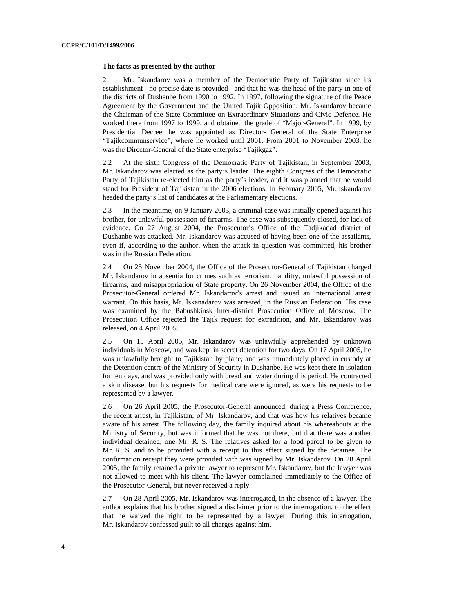#### **The facts as presented by the author**

2.1 Mr. Iskandarov was a member of the Democratic Party of Tajikistan since its establishment - no precise date is provided - and that he was the head of the party in one of the districts of Dushanbe from 1990 to 1992. In 1997, following the signature of the Peace Agreement by the Government and the United Tajik Opposition, Mr. Iskandarov became the Chairman of the State Committee on Extraordinary Situations and Civic Defence. He worked there from 1997 to 1999, and obtained the grade of "Major-General". In 1999, by Presidential Decree, he was appointed as Director- General of the State Enterprise "Tajikcommunservice", where he worked until 2001. From 2001 to November 2003, he was the Director-General of the State enterprise "Tajikgaz".

2.2 At the sixth Congress of the Democratic Party of Tajikistan, in September 2003, Mr. Iskandarov was elected as the party's leader. The eighth Congress of the Democratic Party of Tajikistan re-elected him as the party's leader, and it was planned that he would stand for President of Tajikistan in the 2006 elections. In February 2005, Mr. Iskandarov headed the party's list of candidates at the Parliamentary elections.

2.3 In the meantime, on 9 January 2003, a criminal case was initially opened against his brother, for unlawful possession of firearms. The case was subsequently closed, for lack of evidence. On 27 August 2004, the Prosecutor's Office of the Tadjikadad district of Dushanbe was attacked. Mr. Iskandarov was accused of having been one of the assailants, even if, according to the author, when the attack in question was committed, his brother was in the Russian Federation.

2.4 On 25 November 2004, the Office of the Prosecutor-General of Tajikistan charged Mr. Iskandarov in absentia for crimes such as terrorism, banditry, unlawful possession of firearms, and misappropriation of State property. On 26 November 2004, the Office of the Prosecutor-General ordered Mr. Iskandarov's arrest and issued an international arrest warrant. On this basis, Mr. Iskanadarov was arrested, in the Russian Federation. His case was examined by the Babushkinsk Inter-district Prosecution Office of Moscow. The Prosecution Office rejected the Tajik request for extradition, and Mr. Iskandarov was released, on 4 April 2005.

2.5 On 15 April 2005, Mr. Iskandarov was unlawfully apprehended by unknown individuals in Moscow, and was kept in secret detention for two days. On 17 April 2005, he was unlawfully brought to Tajikistan by plane, and was immediately placed in custody at the Detention centre of the Ministry of Security in Dushanbe. He was kept there in isolation for ten days, and was provided only with bread and water during this period. He contracted a skin disease, but his requests for medical care were ignored, as were his requests to be represented by a lawyer.

2.6 On 26 April 2005, the Prosecutor-General announced, during a Press Conference, the recent arrest, in Tajikistan, of Mr. Iskandarov, and that was how his relatives became aware of his arrest. The following day, the family inquired about his whereabouts at the Ministry of Security, but was informed that he was not there, but that there was another individual detained, one Mr. R. S. The relatives asked for a food parcel to be given to Mr. R. S. and to be provided with a receipt to this effect signed by the detainee. The confirmation receipt they were provided with was signed by Mr. Iskandarov. On 28 April 2005, the family retained a private lawyer to represent Mr. Iskandarov, but the lawyer was not allowed to meet with his client. The lawyer complained immediately to the Office of the Prosecutor-General, but never received a reply.

2.7 On 28 April 2005, Mr. Iskandarov was interrogated, in the absence of a lawyer. The author explains that his brother signed a disclaimer prior to the interrogation, to the effect that he waived the right to be represented by a lawyer. During this interrogation, Mr. Iskandarov confessed guilt to all charges against him.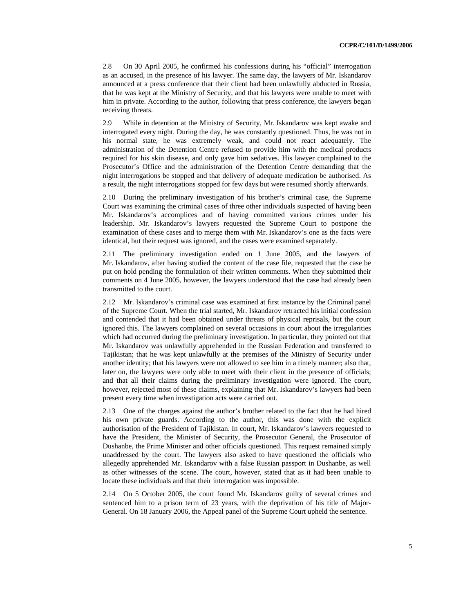2.8 On 30 April 2005, he confirmed his confessions during his "official" interrogation as an accused, in the presence of his lawyer. The same day, the lawyers of Mr. Iskandarov announced at a press conference that their client had been unlawfully abducted in Russia, that he was kept at the Ministry of Security, and that his lawyers were unable to meet with him in private. According to the author, following that press conference, the lawyers began receiving threats.

2.9 While in detention at the Ministry of Security, Mr. Iskandarov was kept awake and interrogated every night. During the day, he was constantly questioned. Thus, he was not in his normal state, he was extremely weak, and could not react adequately. The administration of the Detention Centre refused to provide him with the medical products required for his skin disease, and only gave him sedatives. His lawyer complained to the Prosecutor's Office and the administration of the Detention Centre demanding that the night interrogations be stopped and that delivery of adequate medication be authorised. As a result, the night interrogations stopped for few days but were resumed shortly afterwards.

2.10 During the preliminary investigation of his brother's criminal case, the Supreme Court was examining the criminal cases of three other individuals suspected of having been Mr. Iskandarov's accomplices and of having committed various crimes under his leadership. Mr. Iskandarov's lawyers requested the Supreme Court to postpone the examination of these cases and to merge them with Mr. Iskandarov's one as the facts were identical, but their request was ignored, and the cases were examined separately.

2.11 The preliminary investigation ended on 1 June 2005, and the lawyers of Mr. Iskandarov, after having studied the content of the case file, requested that the case be put on hold pending the formulation of their written comments. When they submitted their comments on 4 June 2005, however, the lawyers understood that the case had already been transmitted to the court.

2.12 Mr. Iskandarov's criminal case was examined at first instance by the Criminal panel of the Supreme Court. When the trial started, Mr. Iskandarov retracted his initial confession and contended that it had been obtained under threats of physical reprisals, but the court ignored this. The lawyers complained on several occasions in court about the irregularities which had occurred during the preliminary investigation. In particular, they pointed out that Mr. Iskandarov was unlawfully apprehended in the Russian Federation and transferred to Tajikistan; that he was kept unlawfully at the premises of the Ministry of Security under another identity; that his lawyers were not allowed to see him in a timely manner; also that, later on, the lawyers were only able to meet with their client in the presence of officials; and that all their claims during the preliminary investigation were ignored. The court, however, rejected most of these claims, explaining that Mr. Iskandarov's lawyers had been present every time when investigation acts were carried out.

2.13 One of the charges against the author's brother related to the fact that he had hired his own private guards. According to the author, this was done with the explicit authorisation of the President of Tajikistan. In court, Mr. Iskandarov's lawyers requested to have the President, the Minister of Security, the Prosecutor General, the Prosecutor of Dushanbe, the Prime Minister and other officials questioned. This request remained simply unaddressed by the court. The lawyers also asked to have questioned the officials who allegedly apprehended Mr. Iskandarov with a false Russian passport in Dushanbe, as well as other witnesses of the scene. The court, however, stated that as it had been unable to locate these individuals and that their interrogation was impossible.

2.14 On 5 October 2005, the court found Mr. Iskandarov guilty of several crimes and sentenced him to a prison term of 23 years, with the deprivation of his title of Major-General. On 18 January 2006, the Appeal panel of the Supreme Court upheld the sentence.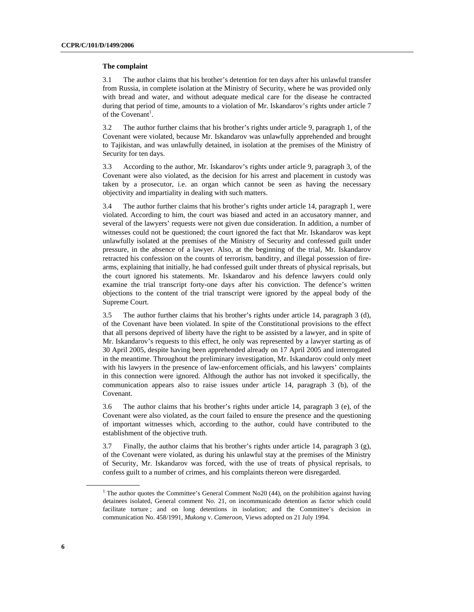#### **The complaint**

3.1 The author claims that his brother's detention for ten days after his unlawful transfer from Russia, in complete isolation at the Ministry of Security, where he was provided only with bread and water, and without adequate medical care for the disease he contracted during that period of time, amounts to a violation of Mr. Iskandarov's rights under article 7 of the Covenant<sup>1</sup>.

3.2 The author further claims that his brother's rights under article 9, paragraph 1, of the Covenant were violated, because Mr. Iskandarov was unlawfully apprehended and brought to Tajikistan, and was unlawfully detained, in isolation at the premises of the Ministry of Security for ten days.

3.3 According to the author, Mr. Iskandarov's rights under article 9, paragraph 3, of the Covenant were also violated, as the decision for his arrest and placement in custody was taken by a prosecutor, i.e. an organ which cannot be seen as having the necessary objectivity and impartiality in dealing with such matters.

3.4 The author further claims that his brother's rights under article 14, paragraph 1, were violated. According to him, the court was biased and acted in an accusatory manner, and several of the lawyers' requests were not given due consideration. In addition, a number of witnesses could not be questioned; the court ignored the fact that Mr. Iskandarov was kept unlawfully isolated at the premises of the Ministry of Security and confessed guilt under pressure, in the absence of a lawyer. Also, at the beginning of the trial, Mr. Iskandarov retracted his confession on the counts of terrorism, banditry, and illegal possession of firearms, explaining that initially, he had confessed guilt under threats of physical reprisals, but the court ignored his statements. Mr. Iskandarov and his defence lawyers could only examine the trial transcript forty-one days after his conviction. The defence's written objections to the content of the trial transcript were ignored by the appeal body of the Supreme Court.

3.5 The author further claims that his brother's rights under article 14, paragraph 3 (d), of the Covenant have been violated. In spite of the Constitutional provisions to the effect that all persons deprived of liberty have the right to be assisted by a lawyer, and in spite of Mr. Iskandarov's requests to this effect, he only was represented by a lawyer starting as of 30 April 2005, despite having been apprehended already on 17 April 2005 and interrogated in the meantime. Throughout the preliminary investigation, Mr. Iskandarov could only meet with his lawyers in the presence of law-enforcement officials, and his lawyers' complaints in this connection were ignored. Although the author has not invoked it specifically, the communication appears also to raise issues under article 14, paragraph 3 (b), of the Covenant.

3.6 The author claims that his brother's rights under article 14, paragraph 3 (e), of the Covenant were also violated, as the court failed to ensure the presence and the questioning of important witnesses which, according to the author, could have contributed to the establishment of the objective truth.

3.7 Finally, the author claims that his brother's rights under article 14, paragraph 3 (g), of the Covenant were violated, as during his unlawful stay at the premises of the Ministry of Security, Mr. Iskandarov was forced, with the use of treats of physical reprisals, to confess guilt to a number of crimes, and his complaints thereon were disregarded.

<sup>&</sup>lt;sup>1</sup> The author quotes the Committee's General Comment No20 (44), on the prohibition against having detainees isolated, General comment No. 21, on incommunicado detention as factor which could facilitate torture ; and on long detentions in isolation; and the Committee's decision in communication No. 458/1991, *Mukong* v. *Cameroon*, Views adopted on 21 July 1994.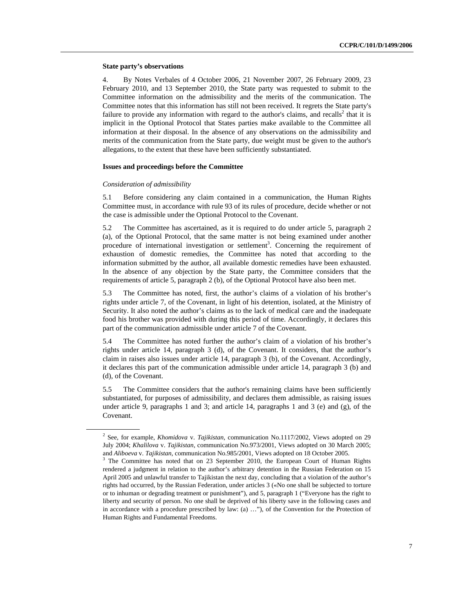#### **State party's observations**

4. By Notes Verbales of 4 October 2006, 21 November 2007, 26 February 2009, 23 February 2010, and 13 September 2010, the State party was requested to submit to the Committee information on the admissibility and the merits of the communication. The Committee notes that this information has still not been received. It regrets the State party's failure to provide any information with regard to the author's claims, and recalls<sup>2</sup> that it is implicit in the Optional Protocol that States parties make available to the Committee all information at their disposal. In the absence of any observations on the admissibility and merits of the communication from the State party, due weight must be given to the author's allegations, to the extent that these have been sufficiently substantiated.

### **Issues and proceedings before the Committee**

#### *Consideration of admissibility*

5.1 Before considering any claim contained in a communication, the Human Rights Committee must, in accordance with rule 93 of its rules of procedure, decide whether or not the case is admissible under the Optional Protocol to the Covenant.

5.2 The Committee has ascertained, as it is required to do under article 5, paragraph 2 (a), of the Optional Protocol, that the same matter is not being examined under another procedure of international investigation or settlement<sup>3</sup>. Concerning the requirement of exhaustion of domestic remedies, the Committee has noted that according to the information submitted by the author, all available domestic remedies have been exhausted. In the absence of any objection by the State party, the Committee considers that the requirements of article 5, paragraph 2 (b), of the Optional Protocol have also been met.

5.3 The Committee has noted, first, the author's claims of a violation of his brother's rights under article 7, of the Covenant, in light of his detention, isolated, at the Ministry of Security. It also noted the author's claims as to the lack of medical care and the inadequate food his brother was provided with during this period of time. Accordingly, it declares this part of the communication admissible under article 7 of the Covenant.

5.4 The Committee has noted further the author's claim of a violation of his brother's rights under article 14, paragraph 3 (d), of the Covenant. It considers, that the author's claim in raises also issues under article 14, paragraph 3 (b), of the Covenant. Accordingly, it declares this part of the communication admissible under article 14, paragraph 3 (b) and (d), of the Covenant.

5.5 The Committee considers that the author's remaining claims have been sufficiently substantiated, for purposes of admissibility, and declares them admissible, as raising issues under article 9, paragraphs 1 and 3; and article 14, paragraphs 1 and 3 (e) and  $(g)$ , of the Covenant.

<sup>2</sup> See, for example, *Khomidova* v. *Tajikistan,* communication No.1117/2002, Views adopted on 29 July 2004; *Khalilova* v. *Tajikistan,* communication No.973/2001, Views adopted on 30 March 2005; and *Aliboeva* v. *Tajikistan*, communication No.985/2001, Views adopted on 18 October 2005. 3

 $3$  The Committee has noted that on 23 September 2010, the European Court of Human Rights rendered a judgment in relation to the author's arbitrary detention in the Russian Federation on 15 April 2005 and unlawful transfer to Tajikistan the next day, concluding that a violation of the author's rights had occurred, by the Russian Federation, under articles 3 («No one shall be subjected to torture or to inhuman or degrading treatment or punishment"), and 5, paragraph 1 ("Everyone has the right to liberty and security of person. No one shall be deprived of his liberty save in the following cases and in accordance with a procedure prescribed by law: (a) …"), of the Convention for the Protection of Human Rights and Fundamental Freedoms.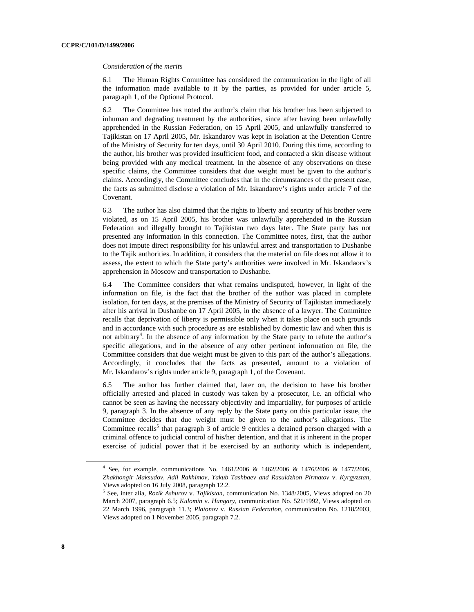#### *Consideration of the merits*

6.1 The Human Rights Committee has considered the communication in the light of all the information made available to it by the parties, as provided for under article 5, paragraph 1, of the Optional Protocol.

6.2 The Committee has noted the author's claim that his brother has been subjected to inhuman and degrading treatment by the authorities, since after having been unlawfully apprehended in the Russian Federation, on 15 April 2005, and unlawfully transferred to Tajikistan on 17 April 2005, Mr. Iskandarov was kept in isolation at the Detention Centre of the Ministry of Security for ten days, until 30 April 2010. During this time, according to the author, his brother was provided insufficient food, and contacted a skin disease without being provided with any medical treatment. In the absence of any observations on these specific claims, the Committee considers that due weight must be given to the author's claims. Accordingly, the Committee concludes that in the circumstances of the present case, the facts as submitted disclose a violation of Mr. Iskandarov's rights under article 7 of the Covenant.

6.3 The author has also claimed that the rights to liberty and security of his brother were violated, as on 15 April 2005, his brother was unlawfully apprehended in the Russian Federation and illegally brought to Tajikistan two days later. The State party has not presented any information in this connection. The Committee notes, first, that the author does not impute direct responsibility for his unlawful arrest and transportation to Dushanbe to the Tajik authorities. In addition, it considers that the material on file does not allow it to assess, the extent to which the State party's authorities were involved in Mr. Iskandaorv's apprehension in Moscow and transportation to Dushanbe.

6.4 The Committee considers that what remains undisputed, however, in light of the information on file, is the fact that the brother of the author was placed in complete isolation, for ten days, at the premises of the Ministry of Security of Tajikistan immediately after his arrival in Dushanbe on 17 April 2005, in the absence of a lawyer. The Committee recalls that deprivation of liberty is permissible only when it takes place on such grounds and in accordance with such procedure as are established by domestic law and when this is not arbitrary<sup>4</sup>. In the absence of any information by the State party to refute the author's specific allegations, and in the absence of any other pertinent information on file, the Committee considers that due weight must be given to this part of the author's allegations. Accordingly, it concludes that the facts as presented, amount to a violation of Mr. Iskandarov's rights under article 9, paragraph 1, of the Covenant.

6.5 The author has further claimed that, later on, the decision to have his brother officially arrested and placed in custody was taken by a prosecutor, i.e. an official who cannot be seen as having the necessary objectivity and impartiality, for purposes of article 9, paragraph 3. In the absence of any reply by the State party on this particular issue, the Committee decides that due weight must be given to the author's allegations. The Committee recalls<sup>5</sup> that paragraph 3 of article 9 entitles a detained person charged with a criminal offence to judicial control of his/her detention, and that it is inherent in the proper exercise of judicial power that it be exercised by an authority which is independent,

<sup>4</sup> See, for example, communications No. 1461/2006 & 1462/2006 & 1476/2006 & 1477/2006, *Zhakhongir Maksudov, Adil Rakhimov, Yakub Tashbaev and Rasuldzhon Pirmatov* v. *Kyrgyzstan*, Views adopted on 16 July 2008, paragraph 12.2.

<sup>5</sup> See, inter alia, *Rozik Ashurov* v. *Tajikistan*, communication No. 1348/2005, Views adopted on 20 March 2007, paragraph 6.5; *Kulomin* v. *Hungary*, communication No. 521/1992, Views adopted on 22 March 1996, paragraph 11.3; *Platonov* v. *Russian Federation*, communication No. 1218/2003, Views adopted on 1 November 2005, paragraph 7.2.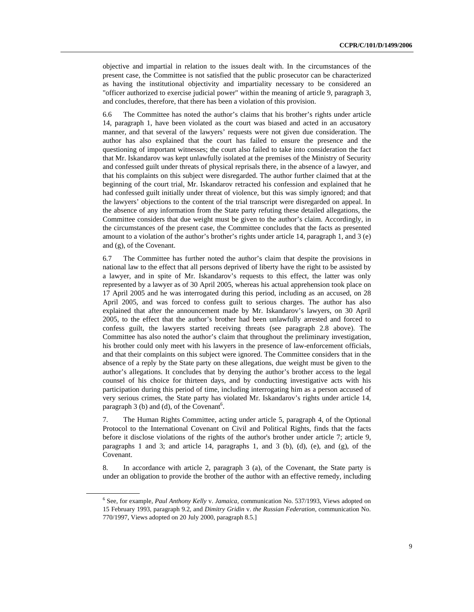objective and impartial in relation to the issues dealt with. In the circumstances of the present case, the Committee is not satisfied that the public prosecutor can be characterized as having the institutional objectivity and impartiality necessary to be considered an "officer authorized to exercise judicial power" within the meaning of article 9, paragraph 3, and concludes, therefore, that there has been a violation of this provision.

6.6 The Committee has noted the author's claims that his brother's rights under article 14, paragraph 1, have been violated as the court was biased and acted in an accusatory manner, and that several of the lawyers' requests were not given due consideration. The author has also explained that the court has failed to ensure the presence and the questioning of important witnesses; the court also failed to take into consideration the fact that Mr. Iskandarov was kept unlawfully isolated at the premises of the Ministry of Security and confessed guilt under threats of physical reprisals there, in the absence of a lawyer, and that his complaints on this subject were disregarded. The author further claimed that at the beginning of the court trial, Mr. Iskandarov retracted his confession and explained that he had confessed guilt initially under threat of violence, but this was simply ignored; and that the lawyers' objections to the content of the trial transcript were disregarded on appeal. In the absence of any information from the State party refuting these detailed allegations, the Committee considers that due weight must be given to the author's claim. Accordingly, in the circumstances of the present case, the Committee concludes that the facts as presented amount to a violation of the author's brother's rights under article 14, paragraph 1, and 3 (e) and (g), of the Covenant.

6.7 The Committee has further noted the author's claim that despite the provisions in national law to the effect that all persons deprived of liberty have the right to be assisted by a lawyer, and in spite of Mr. Iskandarov's requests to this effect, the latter was only represented by a lawyer as of 30 April 2005, whereas his actual apprehension took place on 17 April 2005 and he was interrogated during this period, including as an accused, on 28 April 2005, and was forced to confess guilt to serious charges. The author has also explained that after the announcement made by Mr. Iskandarov's lawyers, on 30 April 2005, to the effect that the author's brother had been unlawfully arrested and forced to confess guilt, the lawyers started receiving threats (see paragraph 2.8 above). The Committee has also noted the author's claim that throughout the preliminary investigation, his brother could only meet with his lawyers in the presence of law-enforcement officials, and that their complaints on this subject were ignored. The Committee considers that in the absence of a reply by the State party on these allegations, due weight must be given to the author's allegations. It concludes that by denying the author's brother access to the legal counsel of his choice for thirteen days, and by conducting investigative acts with his participation during this period of time, including interrogating him as a person accused of very serious crimes, the State party has violated Mr. Iskandarov's rights under article 14, paragraph  $3$  (b) and (d), of the Covenant<sup>6</sup>.

7. The Human Rights Committee, acting under article 5, paragraph 4, of the Optional Protocol to the International Covenant on Civil and Political Rights, finds that the facts before it disclose violations of the rights of the author's brother under article 7; article 9, paragraphs 1 and 3; and article 14, paragraphs 1, and 3 (b), (d), (e), and (g), of the Covenant.

8. In accordance with article 2, paragraph 3 (a), of the Covenant, the State party is under an obligation to provide the brother of the author with an effective remedy, including

<sup>6</sup> See, for example, *Paul Anthony Kelly* v. *Jamaica*, communication No. 537/1993, Views adopted on 15 February 1993, paragraph 9.2, and *Dimitry Gridin* v. *the Russian Federation*, communication No. 770/1997, Views adopted on 20 July 2000, paragraph 8.5.]